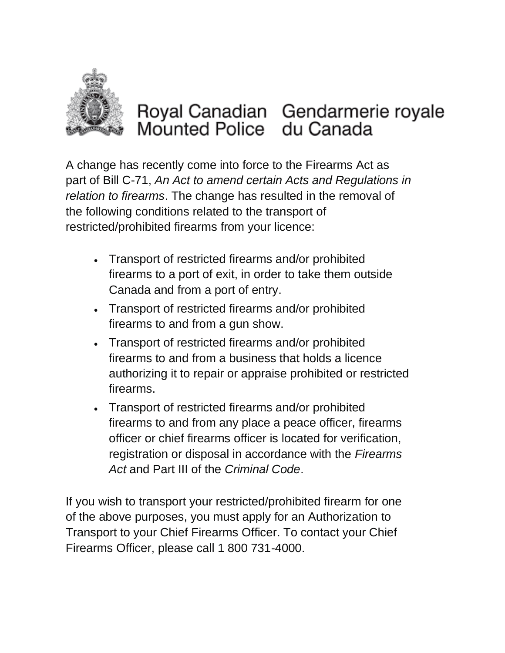

## Royal Canadian Gendarmerie royale Mounted Police du Canada

A change has recently come into force to the Firearms Act as part of Bill C-71, *An Act to amend certain Acts and Regulations in relation to firearms*. The change has resulted in the removal of the following conditions related to the transport of restricted/prohibited firearms from your licence:

- Transport of restricted firearms and/or prohibited firearms to a port of exit, in order to take them outside Canada and from a port of entry.
- Transport of restricted firearms and/or prohibited firearms to and from a gun show.
- Transport of restricted firearms and/or prohibited firearms to and from a business that holds a licence authorizing it to repair or appraise prohibited or restricted firearms.
- Transport of restricted firearms and/or prohibited firearms to and from any place a peace officer, firearms officer or chief firearms officer is located for verification, registration or disposal in accordance with the *Firearms Act* and Part III of the *Criminal Code*.

If you wish to transport your restricted/prohibited firearm for one of the above purposes, you must apply for an Authorization to Transport to your Chief Firearms Officer. To contact your Chief Firearms Officer, please call 1 800 731-4000.